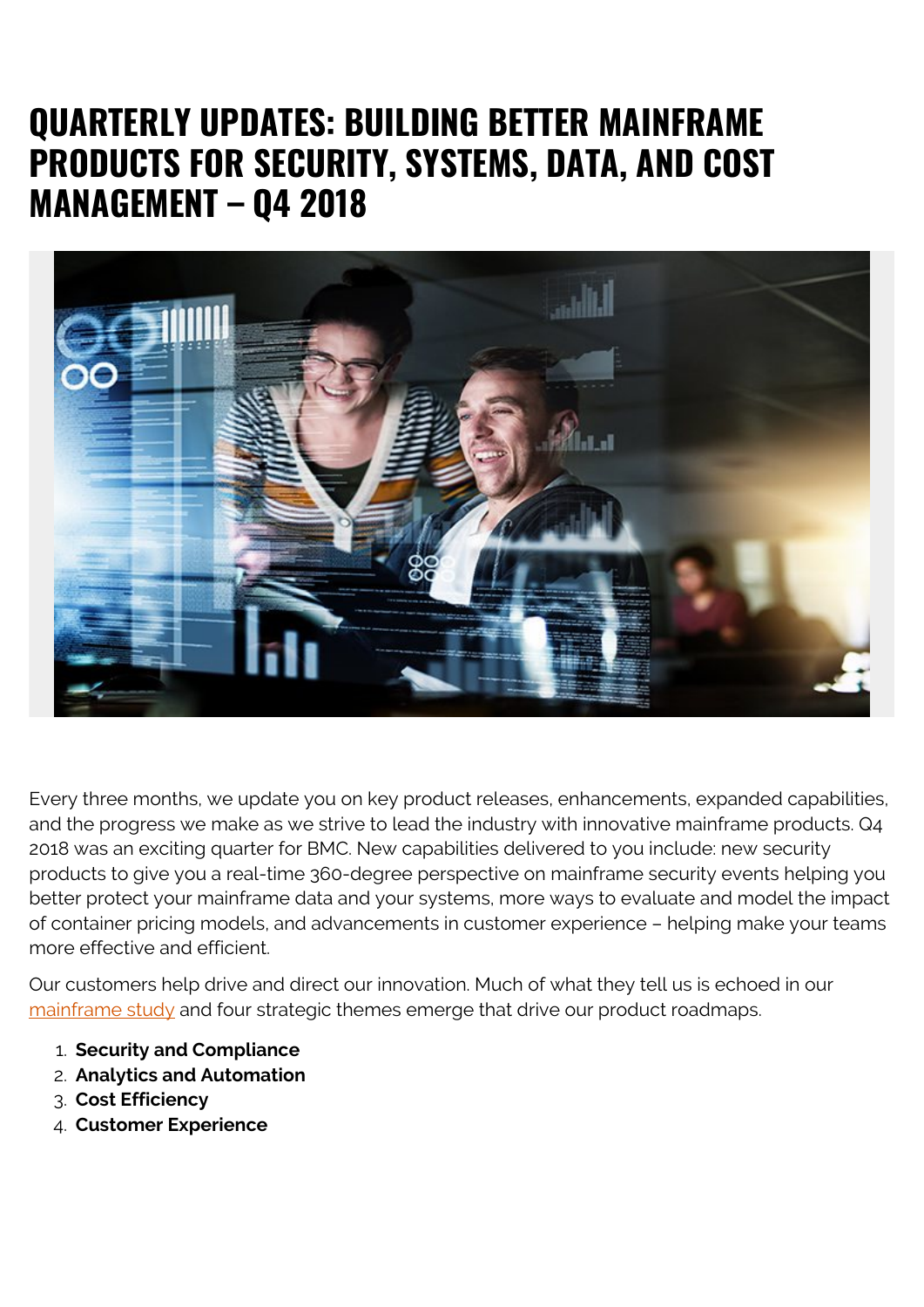## **QUARTERLY UPDATES: BUILDING BETTER MAINFRAME PRODUCTS FOR SECURITY, SYSTEMS, DATA, AND COST MANAGEMENT – Q4 2018**



Every three months, we update you on key product releases, enhancements, expanded capabilities, and the progress we make as we strive to lead the industry with innovative mainframe products. Q4 2018 was an exciting quarter for BMC. New capabilities delivered to you include: new security products to give you a real-time 360-degree perspective on mainframe security events helping you better protect your mainframe data and your systems, more ways to evaluate and model the impact of container pricing models, and advancements in customer experience – helping make your teams more effective and efficient.

Our customers help drive and direct our innovation. Much of what they tell us is echoed in our [mainframe study](https://blogs.bmc.com/info/mainframe-survey.html) and four strategic themes emerge that drive our product roadmaps.

- 1. **Security and Compliance**
- 2. **Analytics and Automation**
- 3. **Cost Efficiency**
- 4. **Customer Experience**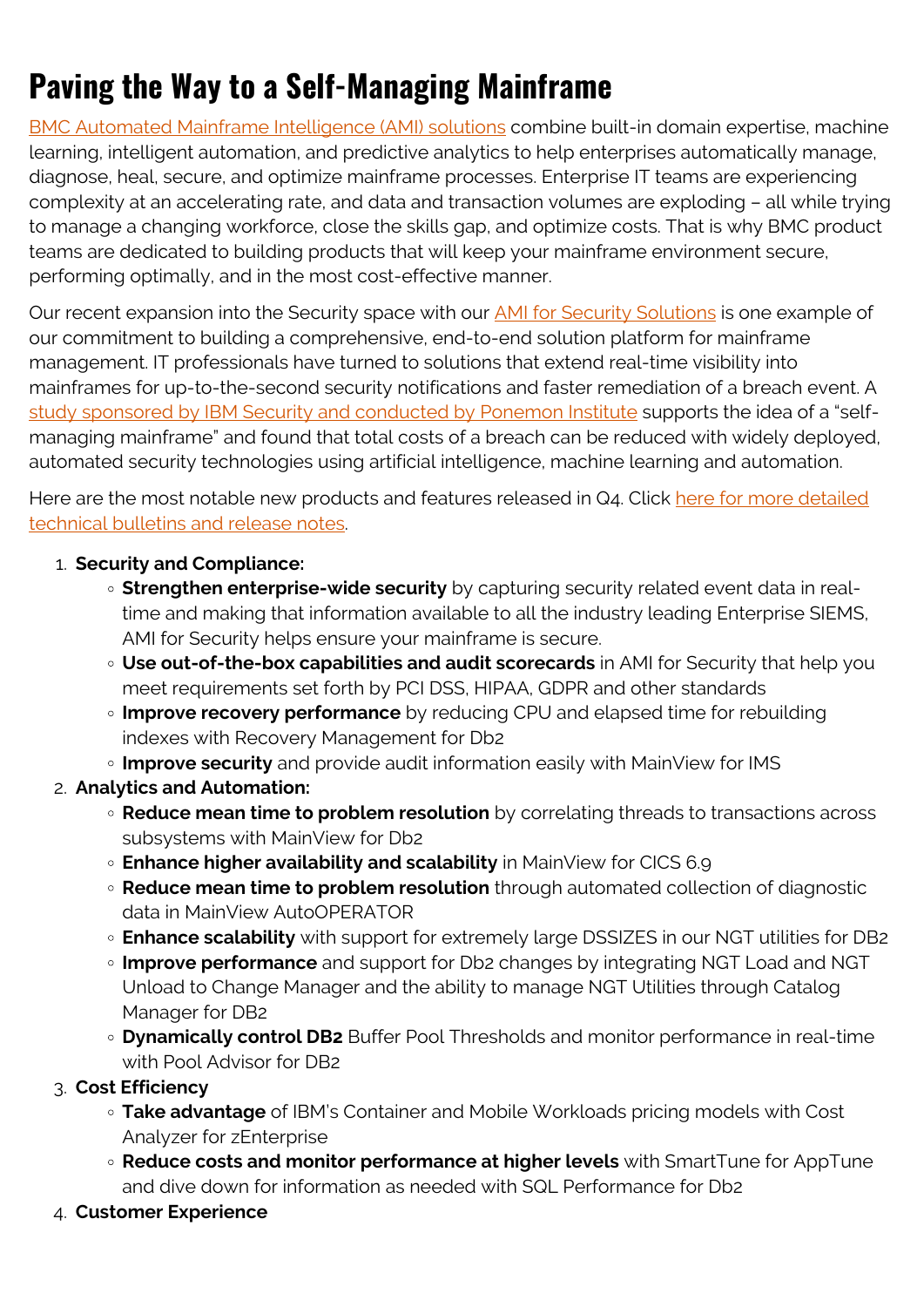## **Paving the Way to a Self-Managing Mainframe**

[BMC Automated Mainframe Intelligence \(AMI\) solutions](https://blogs.bmc.com/it-solutions/bmc-ami-automated-mainframe-intelligence.html) combine built-in domain expertise, machine learning, intelligent automation, and predictive analytics to help enterprises automatically manage, diagnose, heal, secure, and optimize mainframe processes. Enterprise IT teams are experiencing complexity at an accelerating rate, and data and transaction volumes are exploding – all while trying to manage a changing workforce, close the skills gap, and optimize costs. That is why BMC product teams are dedicated to building products that will keep your mainframe environment secure, performing optimally, and in the most cost-effective manner.

Our recent expansion into the Security space with our **AMI** for Security Solutions is one example of our commitment to building a comprehensive, end-to-end solution platform for mainframe management. IT professionals have turned to solutions that extend real-time visibility into mainframes for up-to-the-second security notifications and faster remediation of a breach event. A [study sponsored by IBM Security and conducted by Ponemon Institute](https://www.ibm.com/security/data-breach) supports the idea of a "selfmanaging mainframe" and found that total costs of a breach can be reduced with widely deployed, automated security technologies using artificial intelligence, machine learning and automation.

Here are the most notable new products and features released in Q4. Click [here for more detailed](https://docs.bmc.com/docs/pages/viewpage.action?pageId=837338347) [technical bulletins and release notes](https://docs.bmc.com/docs/pages/viewpage.action?pageId=837338347).

## 1. **Security and Compliance:**

- **Strengthen enterprise-wide security** by capturing security related event data in realtime and making that information available to all the industry leading Enterprise SIEMS, AMI for Security helps ensure your mainframe is secure.
- **Use out-of-the-box capabilities and audit scorecards** in AMI for Security that help you meet requirements set forth by PCI DSS, HIPAA, GDPR and other standards
- **Improve recovery performance** by reducing CPU and elapsed time for rebuilding indexes with Recovery Management for Db2
- **Improve security** and provide audit information easily with MainView for IMS
- 2. **Analytics and Automation:**
	- **Reduce mean time to problem resolution** by correlating threads to transactions across subsystems with MainView for Db2
	- **Enhance higher availability and scalability** in MainView for CICS 6.9
	- **Reduce mean time to problem resolution** through automated collection of diagnostic data in MainView AutoOPERATOR
	- **Enhance scalability** with support for extremely large DSSIZES in our NGT utilities for DB2
	- **Improve performance** and support for Db2 changes by integrating NGT Load and NGT Unload to Change Manager and the ability to manage NGT Utilities through Catalog Manager for DB2
	- **Dynamically control DB2** Buffer Pool Thresholds and monitor performance in real-time with Pool Advisor for DB2
- 3. **Cost Efficiency**
	- **Take advantage** of IBM's Container and Mobile Workloads pricing models with Cost Analyzer for zEnterprise
	- **Reduce costs and monitor performance at higher levels** with SmartTune for AppTune and dive down for information as needed with SQL Performance for Db2
- 4. **Customer Experience**